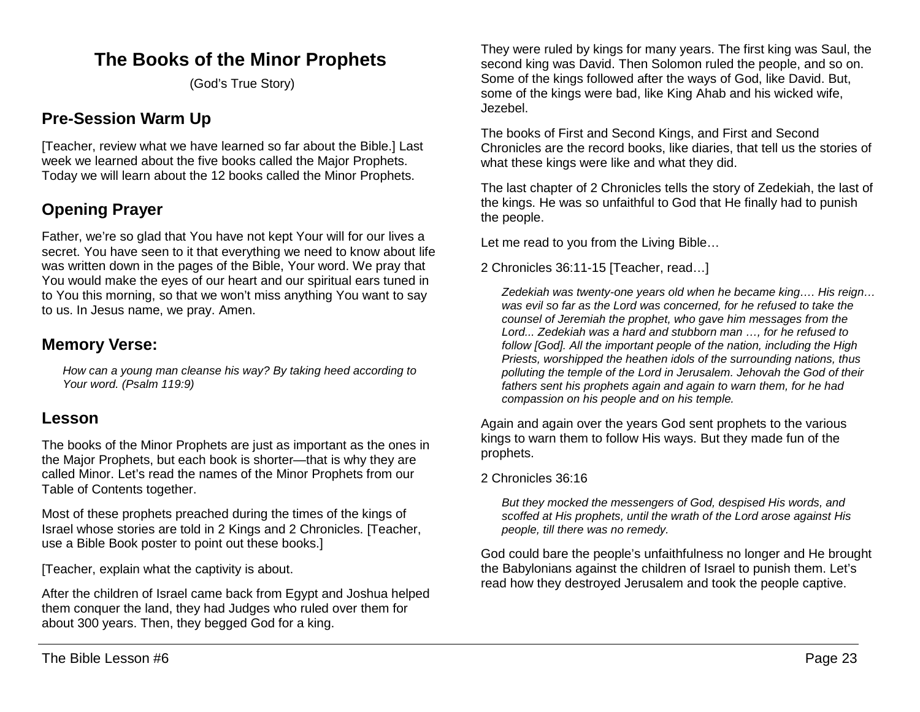# **The Books of the Minor Prophets**

(God's True Story)

# **Pre-Session Warm Up**

[Teacher, review what we have learned so far about the Bible.] Last week we learned about the five books called the Major Prophets. Today we will learn about the 12 books called the Minor Prophets.

# **Opening Prayer**

Father, we're so glad that You have not kept Your will for our lives a secret. You have seen to it that everything we need to know about life was written down in the pages of the Bible, Your word. We pray that You would make the eyes of our heart and our spiritual ears tuned in to You this morning, so that we won't miss anything You want to say to us. In Jesus name, we pray. Amen.

# **Memory Verse:**

*How can a young man cleanse his way? By taking heed according to Your word. (Psalm 119:9)*

# **Lesson**

The books of the Minor Prophets are just as important as the ones in the Major Prophets, but each book is shorter—that is why they are called Minor. Let's read the names of the Minor Prophets from our Table of Contents together.

Most of these prophets preached during the times of the kings of Israel whose stories are told in 2 Kings and 2 Chronicles. [Teacher, use a Bible Book poster to point out these books.]

[Teacher, explain what the captivity is about.

After the children of Israel came back from Egypt and Joshua helped them conquer the land, they had Judges who ruled over them for about 300 years. Then, they begged God for a king.

They were ruled by kings for many years. The first king was Saul, the second king was David. Then Solomon ruled the people, and so on. Some of the kings followed after the ways of God, like David. But, some of the kings were bad, like King Ahab and his wicked wife. Jezebel.

The books of First and Second Kings, and First and Second Chronicles are the record books, like diaries, that tell us the stories of what these kings were like and what they did.

The last chapter of 2 Chronicles tells the story of Zedekiah, the last of the kings. He was so unfaithful to God that He finally had to punish the people.

Let me read to you from the Living Bible…

2 Chronicles 36:11-15 [Teacher, read…]

*Zedekiah was twenty-one years old when he became king…. His reign… was evil so far as the Lord was concerned, for he refused to take the counsel of Jeremiah the prophet, who gave him messages from the Lord... Zedekiah was a hard and stubborn man …, for he refused to follow [God]. All the important people of the nation, including the High Priests, worshipped the heathen idols of the surrounding nations, thus polluting the temple of the Lord in Jerusalem. Jehovah the God of their fathers sent his prophets again and again to warn them, for he had compassion on his people and on his temple.*

Again and again over the years God sent prophets to the various kings to warn them to follow His ways. But they made fun of the prophets.

2 Chronicles 36:16

*But they mocked the messengers of God, despised His words, and scoffed at His prophets, until the wrath of the Lord arose against His people, till there was no remedy.*

God could bare the people's unfaithfulness no longer and He brought the Babylonians against the children of Israel to punish them. Let's read how they destroyed Jerusalem and took the people captive.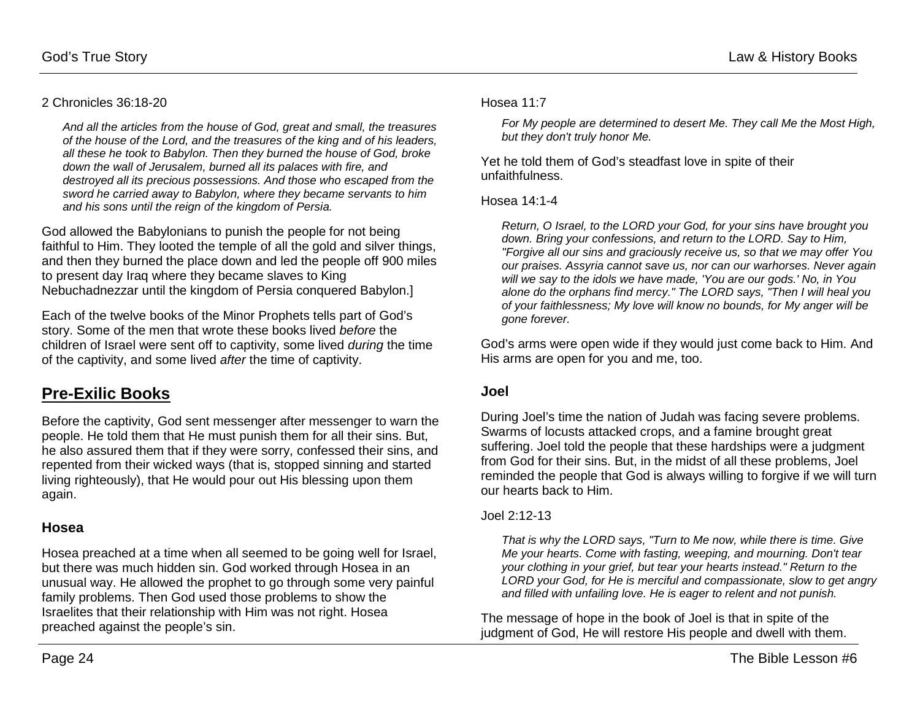### 2 Chronicles 36:18-20

*And all the articles from the house of God, great and small, the treasures of the house of the Lord, and the treasures of the king and of his leaders, all these he took to Babylon. Then they burned the house of God, broke down the wall of Jerusalem, burned all its palaces with fire, and destroyed all its precious possessions. And those who escaped from the sword he carried away to Babylon, where they became servants to him and his sons until the reign of the kingdom of Persia.*

God allowed the Babylonians to punish the people for not being faithful to Him. They looted the temple of all the gold and silver things, and then they burned the place down and led the people off 900 miles to present day Iraq where they became slaves to King Nebuchadnezzar until the kingdom of Persia conquered Babylon.]

Each of the twelve books of the Minor Prophets tells part of God's story. Some of the men that wrote these books lived *before* the children of Israel were sent off to captivity, some lived *during* the time of the captivity, and some lived *after* the time of captivity.

# **Pre-Exilic Books**

Before the captivity, God sent messenger after messenger to warn the people. He told them that He must punish them for all their sins. But, he also assured them that if they were sorry, confessed their sins, and repented from their wicked ways (that is, stopped sinning and started living righteously), that He would pour out His blessing upon them again.

## **Hosea**

Hosea preached at a time when all seemed to be going well for Israel, but there was much hidden sin. God worked through Hosea in an unusual way. He allowed the prophet to go through some very painful family problems. Then God used those problems to show the Israelites that their relationship with Him was not right. Hosea preached against the people's sin.

#### Hosea 11:7

*For My people are determined to desert Me. They call Me the Most High, but they don't truly honor Me.* 

Yet he told them of God's steadfast love in spite of their unfaithfulness.

#### Hosea 14:1-4

*Return, O Israel, to the LORD your God, for your sins have brought you down. Bring your confessions, and return to the LORD. Say to Him, "Forgive all our sins and graciously receive us, so that we may offer You our praises. Assyria cannot save us, nor can our warhorses. Never again will we say to the idols we have made, 'You are our gods.' No, in You alone do the orphans find mercy." The LORD says, "Then I will heal you of your faithlessness; My love will know no bounds, for My anger will be gone forever.* 

God's arms were open wide if they would just come back to Him. And His arms are open for you and me, too.

## **Joel**

During Joel's time the nation of Judah was facing severe problems. Swarms of locusts attacked crops, and a famine brought great suffering. Joel told the people that these hardships were a judgment from God for their sins. But, in the midst of all these problems, Joel reminded the people that God is always willing to forgive if we will turn our hearts back to Him.

#### Joel 2:12-13

*That is why the LORD says, "Turn to Me now, while there is time. Give Me your hearts. Come with fasting, weeping, and mourning. Don't tear your clothing in your grief, but tear your hearts instead." Return to the LORD your God, for He is merciful and compassionate, slow to get angry and filled with unfailing love. He is eager to relent and not punish.* 

The message of hope in the book of Joel is that in spite of the judgment of God, He will restore His people and dwell with them.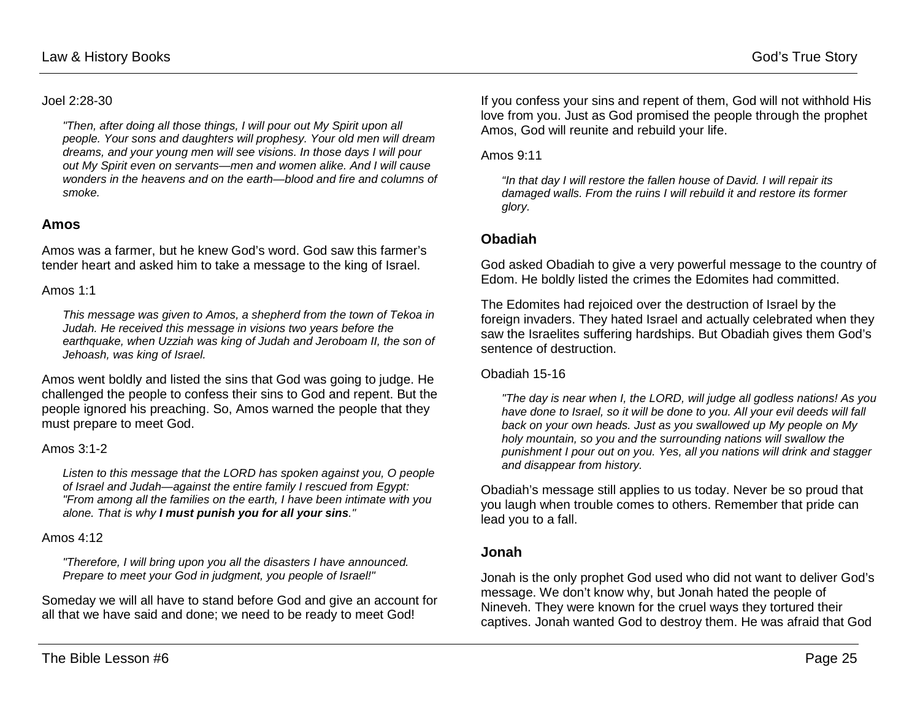#### Joel 2:28-30

*"Then, after doing all those things, I will pour out My Spirit upon all people. Your sons and daughters will prophesy. Your old men will dream dreams, and your young men will see visions. In those days I will pour out My Spirit even on servants—men and women alike. And I will cause wonders in the heavens and on the earth—blood and fire and columns of smoke.*

#### **Amos**

Amos was a farmer, but he knew God's word. God saw this farmer's tender heart and asked him to take a message to the king of Israel.

#### Amos 1:1

*This message was given to Amos, a shepherd from the town of Tekoa in Judah. He received this message in visions two years before the earthquake, when Uzziah was king of Judah and Jeroboam II, the son of Jehoash, was king of Israel.*

Amos went boldly and listed the sins that God was going to judge. He challenged the people to confess their sins to God and repent. But the people ignored his preaching. So, Amos warned the people that they must prepare to meet God.

#### Amos 3:1-2

*Listen to this message that the LORD has spoken against you, O people of Israel and Judah—against the entire family I rescued from Egypt: "From among all the families on the earth, I have been intimate with you alone. That is why I must punish you for all your sins."*

#### Amos 4:12

*"Therefore, I will bring upon you all the disasters I have announced. Prepare to meet your God in judgment, you people of Israel!"* 

Someday we will all have to stand before God and give an account for all that we have said and done; we need to be ready to meet God!

#### Amos 9:11

*"In that day I will restore the fallen house of David. I will repair its damaged walls. From the ruins I will rebuild it and restore its former glory.* 

### **Obadiah**

God asked Obadiah to give a very powerful message to the country of Edom. He boldly listed the crimes the Edomites had committed.

The Edomites had rejoiced over the destruction of Israel by the foreign invaders. They hated Israel and actually celebrated when they saw the Israelites suffering hardships. But Obadiah gives them God's sentence of destruction.

#### Obadiah 15-16

*"The day is near when I, the LORD, will judge all godless nations! As you have done to Israel, so it will be done to you. All your evil deeds will fall back on your own heads. Just as you swallowed up My people on My holy mountain, so you and the surrounding nations will swallow the punishment I pour out on you. Yes, all you nations will drink and stagger and disappear from history.* 

Obadiah's message still applies to us today. Never be so proud that you laugh when trouble comes to others. Remember that pride can lead you to a fall.

#### **Jonah**

Jonah is the only prophet God used who did not want to deliver God's message. We don't know why, but Jonah hated the people of Nineveh. They were known for the cruel ways they tortured their captives. Jonah wanted God to destroy them. He was afraid that God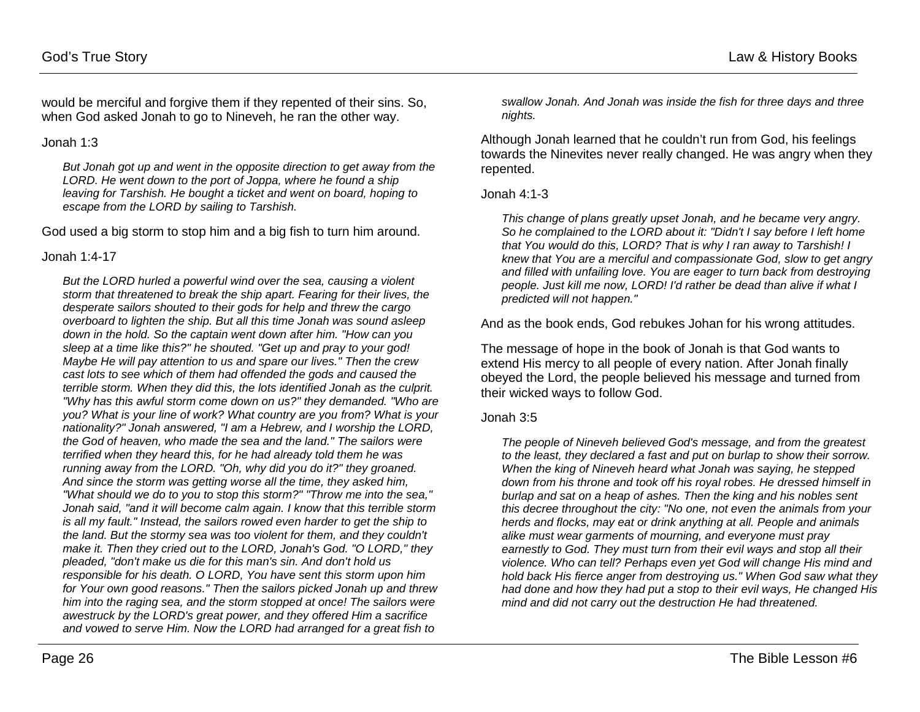would be merciful and forgive them if they repented of their sins. So, when God asked Jonah to go to Nineveh, he ran the other way.

#### Jonah 1:3

*But Jonah got up and went in the opposite direction to get away from the LORD. He went down to the port of Joppa, where he found a ship leaving for Tarshish. He bought a ticket and went on board, hoping to escape from the LORD by sailing to Tarshish.* 

God used a big storm to stop him and a big fish to turn him around.

#### Jonah 1:4-17

*But the LORD hurled a powerful wind over the sea, causing a violent storm that threatened to break the ship apart. Fearing for their lives, the desperate sailors shouted to their gods for help and threw the cargo overboard to lighten the ship. But all this time Jonah was sound asleep down in the hold. So the captain went down after him. "How can you sleep at a time like this?" he shouted. "Get up and pray to your god! Maybe He will pay attention to us and spare our lives." Then the crew cast lots to see which of them had offended the gods and caused the terrible storm. When they did this, the lots identified Jonah as the culprit. "Why has this awful storm come down on us?" they demanded. "Who are you? What is your line of work? What country are you from? What is your nationality?" Jonah answered, "I am a Hebrew, and I worship the LORD, the God of heaven, who made the sea and the land." The sailors were terrified when they heard this, for he had already told them he was running away from the LORD. "Oh, why did you do it?" they groaned. And since the storm was getting worse all the time, they asked him, "What should we do to you to stop this storm?" "Throw me into the sea," Jonah said, "and it will become calm again. I know that this terrible storm is all my fault." Instead, the sailors rowed even harder to get the ship to the land. But the stormy sea was too violent for them, and they couldn't make it. Then they cried out to the LORD, Jonah's God. "O LORD," they pleaded, "don't make us die for this man's sin. And don't hold us responsible for his death. O LORD, You have sent this storm upon him for Your own good reasons." Then the sailors picked Jonah up and threw him into the raging sea, and the storm stopped at once! The sailors were awestruck by the LORD's great power, and they offered Him a sacrifice and vowed to serve Him. Now the LORD had arranged for a great fish to* 

*swallow Jonah. And Jonah was inside the fish for three days and three nights.* 

Although Jonah learned that he couldn't run from God, his feelings towards the Ninevites never really changed. He was angry when they repented.

#### Jonah 4:1-3

*This change of plans greatly upset Jonah, and he became very angry. So he complained to the LORD about it: "Didn't I say before I left home that You would do this, LORD? That is why I ran away to Tarshish! I knew that You are a merciful and compassionate God, slow to get angry and filled with unfailing love. You are eager to turn back from destroying people. Just kill me now, LORD! I'd rather be dead than alive if what I predicted will not happen."* 

And as the book ends, God rebukes Johan for his wrong attitudes.

The message of hope in the book of Jonah is that God wants to extend His mercy to all people of every nation. After Jonah finally obeyed the Lord, the people believed his message and turned from their wicked ways to follow God.

#### Jonah 3:5

*The people of Nineveh believed God's message, and from the greatest to the least, they declared a fast and put on burlap to show their sorrow. When the king of Nineveh heard what Jonah was saying, he stepped down from his throne and took off his royal robes. He dressed himself in burlap and sat on a heap of ashes. Then the king and his nobles sent this decree throughout the city: "No one, not even the animals from your herds and flocks, may eat or drink anything at all. People and animals alike must wear garments of mourning, and everyone must pray earnestly to God. They must turn from their evil ways and stop all their violence. Who can tell? Perhaps even yet God will change His mind and hold back His fierce anger from destroying us." When God saw what they had done and how they had put a stop to their evil ways, He changed His mind and did not carry out the destruction He had threatened.*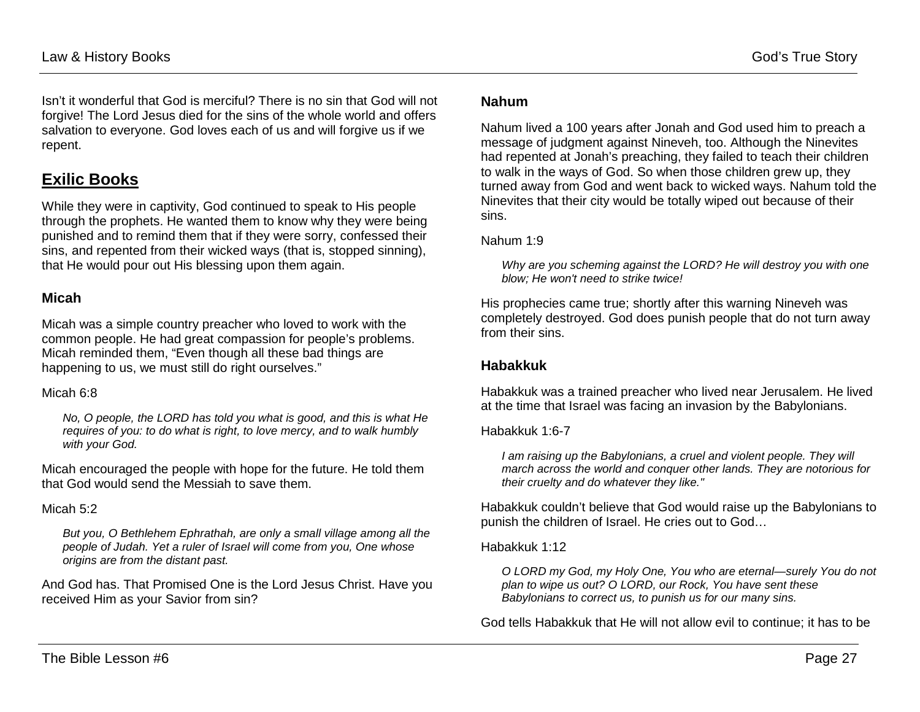Isn't it wonderful that God is merciful? There is no sin that God will not forgive! The Lord Jesus died for the sins of the whole world and offers salvation to everyone. God loves each of us and will forgive us if we repent.

# **Exilic Books**

While they were in captivity, God continued to speak to His people through the prophets. He wanted them to know why they were being punished and to remind them that if they were sorry, confessed their sins, and repented from their wicked ways (that is, stopped sinning), that He would pour out His blessing upon them again.

## **Micah**

Micah was a simple country preacher who loved to work with the common people. He had great compassion for people's problems. Micah reminded them, "Even though all these bad things are happening to us, we must still do right ourselves."

#### Micah 6:8

*No, O people, the LORD has told you what is good, and this is what He requires of you: to do what is right, to love mercy, and to walk humbly with your God.* 

Micah encouraged the people with hope for the future. He told them that God would send the Messiah to save them.

### Micah 5:2

*But you, O Bethlehem Ephrathah, are only a small village among all the people of Judah. Yet a ruler of Israel will come from you, One whose origins are from the distant past.* 

And God has. That Promised One is the Lord Jesus Christ. Have you received Him as your Savior from sin?

### **Nahum**

Nahum lived a 100 years after Jonah and God used him to preach a message of judgment against Nineveh, too. Although the Ninevites had repented at Jonah's preaching, they failed to teach their children to walk in the ways of God. So when those children grew up, they turned away from God and went back to wicked ways. Nahum told the Ninevites that their city would be totally wiped out because of their sins.

#### Nahum 1:9

*Why are you scheming against the LORD? He will destroy you with one blow; He won't need to strike twice!* 

His prophecies came true; shortly after this warning Nineveh was completely destroyed. God does punish people that do not turn away from their sins.

## **Habakkuk**

Habakkuk was a trained preacher who lived near Jerusalem. He lived at the time that Israel was facing an invasion by the Babylonians.

#### Habakkuk 1:6-7

*I am raising up the Babylonians, a cruel and violent people. They will march across the world and conquer other lands. They are notorious for their cruelty and do whatever they like."* 

Habakkuk couldn't believe that God would raise up the Babylonians to punish the children of Israel. He cries out to God…

### Habakkuk 1:12

*O LORD my God, my Holy One, You who are eternal—surely You do not plan to wipe us out? O LORD, our Rock, You have sent these Babylonians to correct us, to punish us for our many sins.* 

God tells Habakkuk that He will not allow evil to continue; it has to be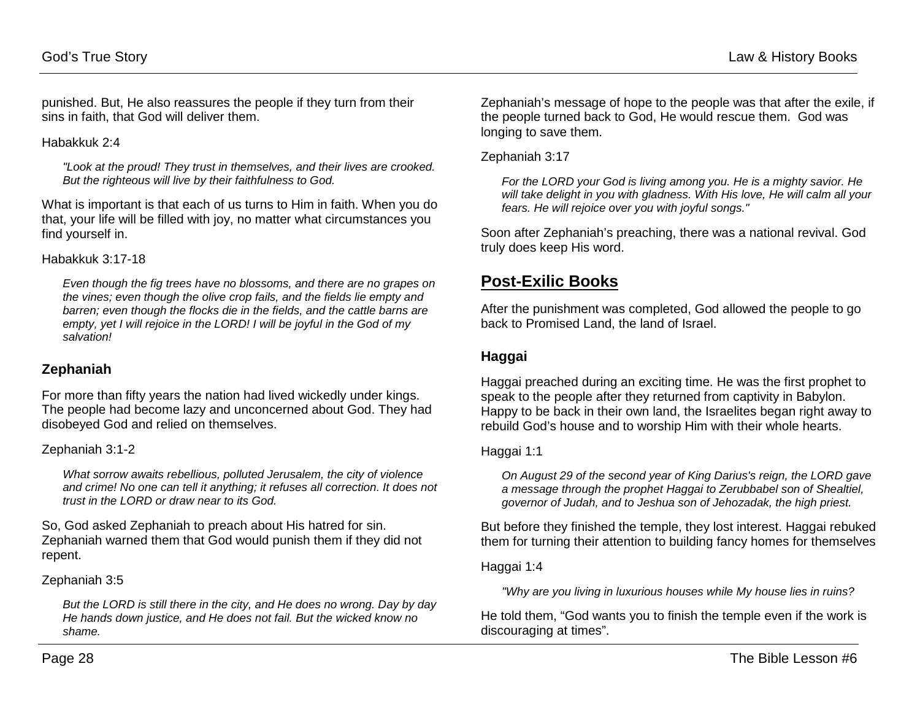punished. But, He also reassures the people if they turn from their sins in faith, that God will deliver them.

#### Habakkuk 2:4

*"Look at the proud! They trust in themselves, and their lives are crooked. But the righteous will live by their faithfulness to God.* 

What is important is that each of us turns to Him in faith. When you do that, your life will be filled with joy, no matter what circumstances you find yourself in.

#### Habakkuk 3:17-18

*Even though the fig trees have no blossoms, and there are no grapes on the vines; even though the olive crop fails, and the fields lie empty and barren; even though the flocks die in the fields, and the cattle barns are empty, yet I will rejoice in the LORD! I will be joyful in the God of my salvation!*

## **Zephaniah**

For more than fifty years the nation had lived wickedly under kings. The people had become lazy and unconcerned about God. They had disobeyed God and relied on themselves.

#### Zephaniah 3:1-2

*What sorrow awaits rebellious, polluted Jerusalem, the city of violence and crime! No one can tell it anything; it refuses all correction. It does not trust in the LORD or draw near to its God.* 

So, God asked Zephaniah to preach about His hatred for sin. Zephaniah warned them that God would punish them if they did not repent.

### Zephaniah 3:5

*But the LORD is still there in the city, and He does no wrong. Day by day He hands down justice, and He does not fail. But the wicked know no shame.* 

Zephaniah's message of hope to the people was that after the exile, if the people turned back to God, He would rescue them. God was longing to save them.

#### Zephaniah 3:17

*For the LORD your God is living among you. He is a mighty savior. He will take delight in you with gladness. With His love, He will calm all your fears. He will rejoice over you with joyful songs."* 

Soon after Zephaniah's preaching, there was a national revival. God truly does keep His word.

# **Post-Exilic Books**

After the punishment was completed, God allowed the people to go back to Promised Land, the land of Israel.

## **Haggai**

Haggai preached during an exciting time. He was the first prophet to speak to the people after they returned from captivity in Babylon. Happy to be back in their own land, the Israelites began right away to rebuild God's house and to worship Him with their whole hearts.

#### Haggai 1:1

*On August 29 of the second year of King Darius's reign, the LORD gave a message through the prophet Haggai to Zerubbabel son of Shealtiel, governor of Judah, and to Jeshua son of Jehozadak, the high priest.* 

But before they finished the temple, they lost interest. Haggai rebuked them for turning their attention to building fancy homes for themselves

### Haggai 1:4

*"Why are you living in luxurious houses while My house lies in ruins?* 

He told them, "God wants you to finish the temple even if the work is discouraging at times".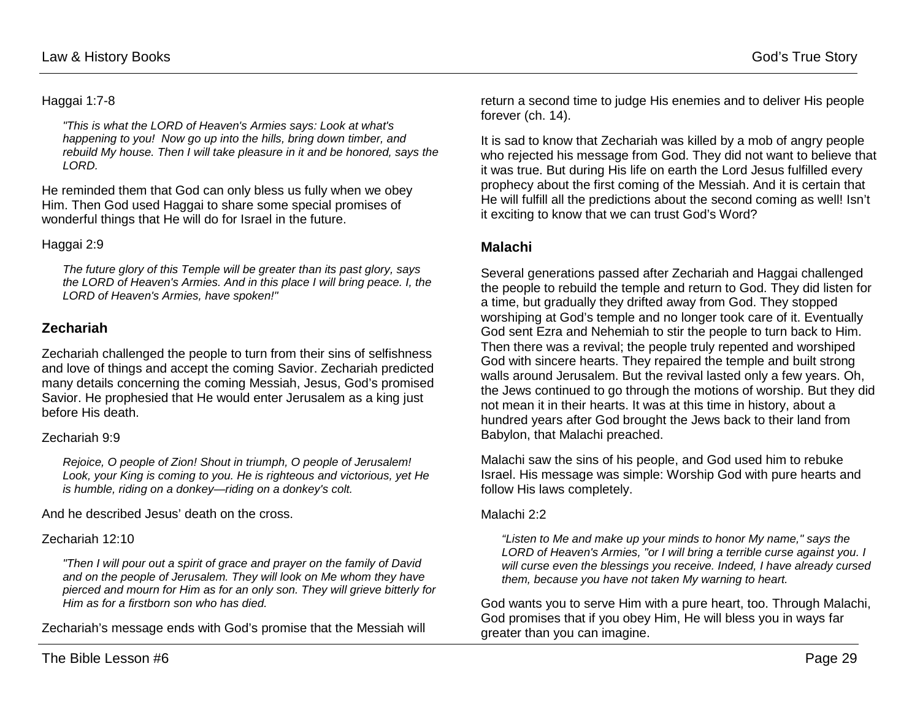*"This is what the LORD of Heaven's Armies says: Look at what's happening to you! Now go up into the hills, bring down timber, and rebuild My house. Then I will take pleasure in it and be honored, says the LORD.*

He reminded them that God can only bless us fully when we obey Him. Then God used Haggai to share some special promises of wonderful things that He will do for Israel in the future.

## Haggai 2:9

*The future glory of this Temple will be greater than its past glory, says the LORD of Heaven's Armies. And in this place I will bring peace. I, the LORD of Heaven's Armies, have spoken!"* 

# **Zechariah**

Zechariah challenged the people to turn from their sins of selfishness and love of things and accept the coming Savior. Zechariah predicted many details concerning the coming Messiah, Jesus, God's promised Savior. He prophesied that He would enter Jerusalem as a king just before His death.

### Zechariah 9:9

*Rejoice, O people of Zion! Shout in triumph, O people of Jerusalem! Look, your King is coming to you. He is righteous and victorious, yet He is humble, riding on a donkey—riding on a donkey's colt.*

And he described Jesus' death on the cross.

## Zechariah 12:10

*"Then I will pour out a spirit of grace and prayer on the family of David and on the people of Jerusalem. They will look on Me whom they have pierced and mourn for Him as for an only son. They will grieve bitterly for Him as for a firstborn son who has died.*

Zechariah's message ends with God's promise that the Messiah will

### **Malachi**

forever (ch. 14).

Several generations passed after Zechariah and Haggai challenged the people to rebuild the temple and return to God. They did listen for a time, but gradually they drifted away from God. They stopped worshiping at God's temple and no longer took care of it. Eventually God sent Ezra and Nehemiah to stir the people to turn back to Him. Then there was a revival; the people truly repented and worshiped God with sincere hearts. They repaired the temple and built strong walls around Jerusalem. But the revival lasted only a few years. Oh, the Jews continued to go through the motions of worship. But they did not mean it in their hearts. It was at this time in history, about a hundred years after God brought the Jews back to their land from Babylon, that Malachi preached.

return a second time to judge His enemies and to deliver His people

It is sad to know that Zechariah was killed by a mob of angry people who rejected his message from God. They did not want to believe that it was true. But during His life on earth the Lord Jesus fulfilled every prophecy about the first coming of the Messiah. And it is certain that He will fulfill all the predictions about the second coming as well! Isn't

Malachi saw the sins of his people, and God used him to rebuke Israel. His message was simple: Worship God with pure hearts and follow His laws completely.

#### Malachi 2:2

*"Listen to Me and make up your minds to honor My name," says the LORD of Heaven's Armies, "or I will bring a terrible curse against you. I will curse even the blessings you receive. Indeed, I have already cursed them, because you have not taken My warning to heart.*

God wants you to serve Him with a pure heart, too. Through Malachi, God promises that if you obey Him, He will bless you in ways far greater than you can imagine.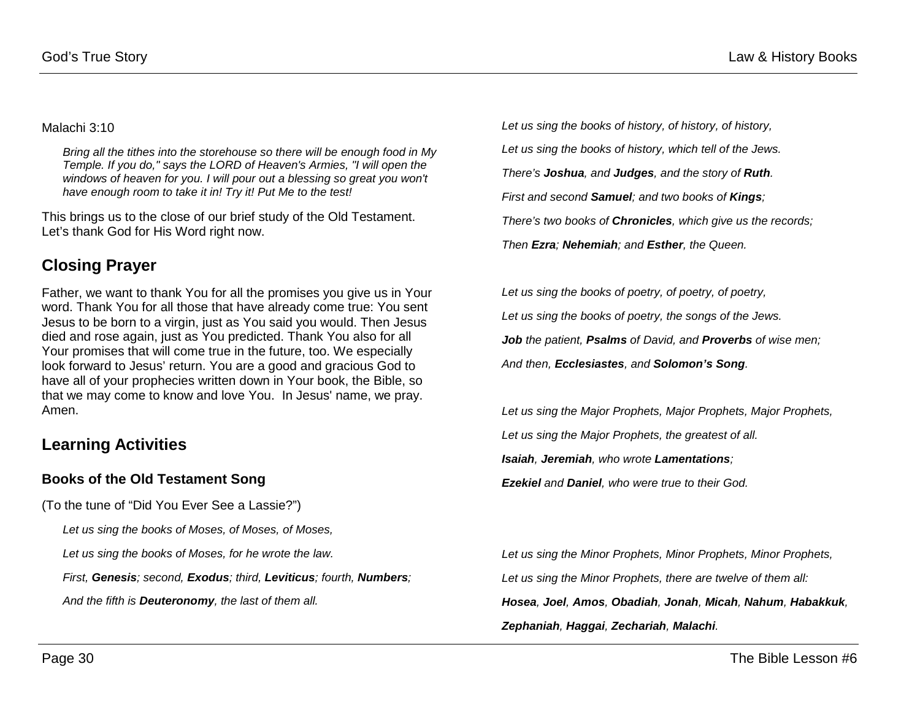#### Malachi 3:10

*Bring all the tithes into the storehouse so there will be enough food in My Temple. If you do," says the LORD of Heaven's Armies, "I will open the windows of heaven for you. I will pour out a blessing so great you won't have enough room to take it in! Try it! Put Me to the test!* 

This brings us to the close of our brief study of the Old Testament. Let's thank God for His Word right now.

# **Closing Prayer**

Father, we want to thank You for all the promises you give us in Your word. Thank You for all those that have already come true: You sent Jesus to be born to a virgin, just as You said you would. Then Jesus died and rose again, just as You predicted. Thank You also for all Your promises that will come true in the future, too. We especially look forward to Jesus' return. You are a good and gracious God to have all of your prophecies written down in Your book, the Bible, so that we may come to know and love You. In Jesus' name, we pray. Amen.

# **Learning Activities**

## **Books of the Old Testament Song**

(To the tune of "Did You Ever See a Lassie?")

*Let us sing the books of Moses, of Moses, of Moses,*

*Let us sing the books of Moses, for he wrote the law.*

*First, Genesis; second, Exodus; third, Leviticus; fourth, Numbers;*

*And the fifth is Deuteronomy, the last of them all.*

*Let us sing the books of history, of history, of history, Let us sing the books of history, which tell of the Jews. There's Joshua, and Judges, and the story of Ruth. First and second Samuel; and two books of Kings; There's two books of Chronicles, which give us the records; Then Ezra; Nehemiah; and Esther, the Queen.*

*Let us sing the books of poetry, of poetry, of poetry, Let us sing the books of poetry, the songs of the Jews. Job the patient, Psalms of David, and Proverbs of wise men; And then, Ecclesiastes, and Solomon's Song.*

*Let us sing the Major Prophets, Major Prophets, Major Prophets, Let us sing the Major Prophets, the greatest of all. Isaiah, Jeremiah, who wrote Lamentations; Ezekiel and Daniel, who were true to their God.*

*Let us sing the Minor Prophets, Minor Prophets, Minor Prophets, Let us sing the Minor Prophets, there are twelve of them all: Hosea, Joel, Amos, Obadiah, Jonah, Micah, Nahum, Habakkuk, Zephaniah, Haggai, Zechariah, Malachi.*